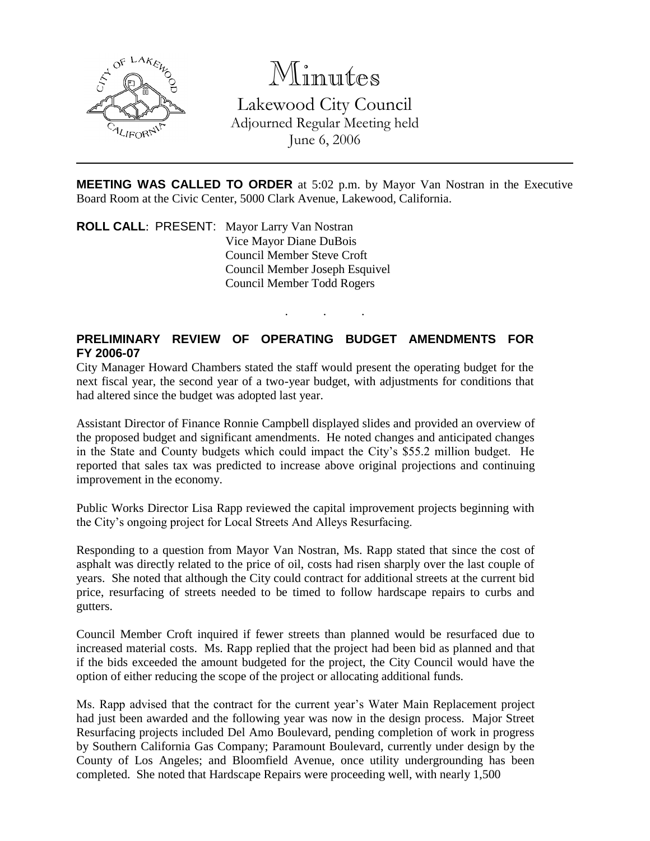

Minutes

Lakewood City Council Adjourned Regular Meeting held June 6, 2006

**MEETING WAS CALLED TO ORDER** at 5:02 p.m. by Mayor Van Nostran in the Executive Board Room at the Civic Center, 5000 Clark Avenue, Lakewood, California.

. . .

**ROLL CALL**: PRESENT: Mayor Larry Van Nostran Vice Mayor Diane DuBois Council Member Steve Croft Council Member Joseph Esquivel Council Member Todd Rogers

# **PRELIMINARY REVIEW OF OPERATING BUDGET AMENDMENTS FOR FY 2006-07**

City Manager Howard Chambers stated the staff would present the operating budget for the next fiscal year, the second year of a two-year budget, with adjustments for conditions that had altered since the budget was adopted last year.

Assistant Director of Finance Ronnie Campbell displayed slides and provided an overview of the proposed budget and significant amendments. He noted changes and anticipated changes in the State and County budgets which could impact the City's \$55.2 million budget. He reported that sales tax was predicted to increase above original projections and continuing improvement in the economy.

Public Works Director Lisa Rapp reviewed the capital improvement projects beginning with the City's ongoing project for Local Streets And Alleys Resurfacing.

Responding to a question from Mayor Van Nostran, Ms. Rapp stated that since the cost of asphalt was directly related to the price of oil, costs had risen sharply over the last couple of years. She noted that although the City could contract for additional streets at the current bid price, resurfacing of streets needed to be timed to follow hardscape repairs to curbs and gutters.

Council Member Croft inquired if fewer streets than planned would be resurfaced due to increased material costs. Ms. Rapp replied that the project had been bid as planned and that if the bids exceeded the amount budgeted for the project, the City Council would have the option of either reducing the scope of the project or allocating additional funds.

Ms. Rapp advised that the contract for the current year's Water Main Replacement project had just been awarded and the following year was now in the design process. Major Street Resurfacing projects included Del Amo Boulevard, pending completion of work in progress by Southern California Gas Company; Paramount Boulevard, currently under design by the County of Los Angeles; and Bloomfield Avenue, once utility undergrounding has been completed. She noted that Hardscape Repairs were proceeding well, with nearly 1,500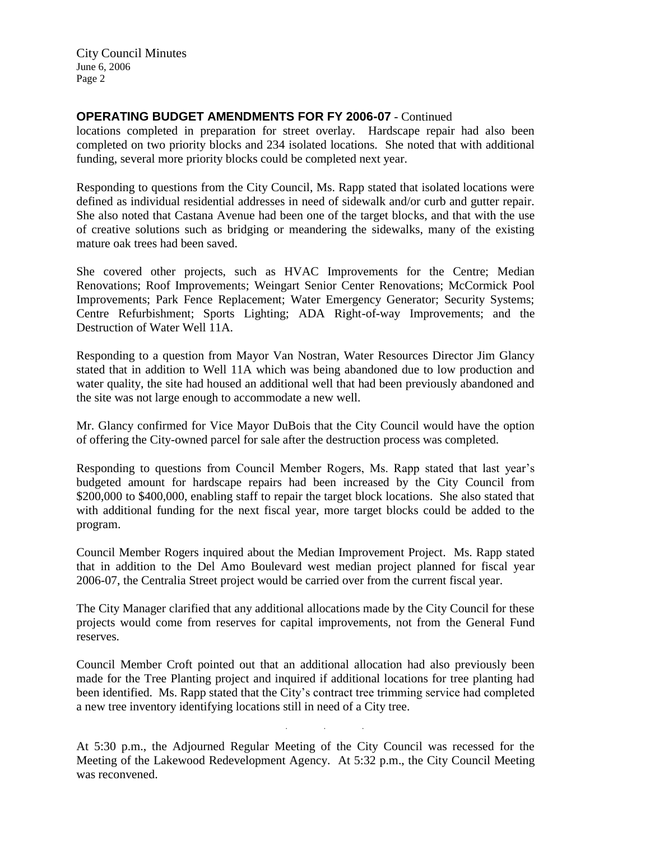### **OPERATING BUDGET AMENDMENTS FOR FY 2006-07** - Continued

locations completed in preparation for street overlay. Hardscape repair had also been completed on two priority blocks and 234 isolated locations. She noted that with additional funding, several more priority blocks could be completed next year.

Responding to questions from the City Council, Ms. Rapp stated that isolated locations were defined as individual residential addresses in need of sidewalk and/or curb and gutter repair. She also noted that Castana Avenue had been one of the target blocks, and that with the use of creative solutions such as bridging or meandering the sidewalks, many of the existing mature oak trees had been saved.

She covered other projects, such as HVAC Improvements for the Centre; Median Renovations; Roof Improvements; Weingart Senior Center Renovations; McCormick Pool Improvements; Park Fence Replacement; Water Emergency Generator; Security Systems; Centre Refurbishment; Sports Lighting; ADA Right-of-way Improvements; and the Destruction of Water Well 11A.

Responding to a question from Mayor Van Nostran, Water Resources Director Jim Glancy stated that in addition to Well 11A which was being abandoned due to low production and water quality, the site had housed an additional well that had been previously abandoned and the site was not large enough to accommodate a new well.

Mr. Glancy confirmed for Vice Mayor DuBois that the City Council would have the option of offering the City-owned parcel for sale after the destruction process was completed.

Responding to questions from Council Member Rogers, Ms. Rapp stated that last year's budgeted amount for hardscape repairs had been increased by the City Council from \$200,000 to \$400,000, enabling staff to repair the target block locations. She also stated that with additional funding for the next fiscal year, more target blocks could be added to the program.

Council Member Rogers inquired about the Median Improvement Project. Ms. Rapp stated that in addition to the Del Amo Boulevard west median project planned for fiscal year 2006-07, the Centralia Street project would be carried over from the current fiscal year.

The City Manager clarified that any additional allocations made by the City Council for these projects would come from reserves for capital improvements, not from the General Fund reserves.

Council Member Croft pointed out that an additional allocation had also previously been made for the Tree Planting project and inquired if additional locations for tree planting had been identified. Ms. Rapp stated that the City's contract tree trimming service had completed a new tree inventory identifying locations still in need of a City tree.

At 5:30 p.m., the Adjourned Regular Meeting of the City Council was recessed for the Meeting of the Lakewood Redevelopment Agency. At 5:32 p.m., the City Council Meeting was reconvened.

. . .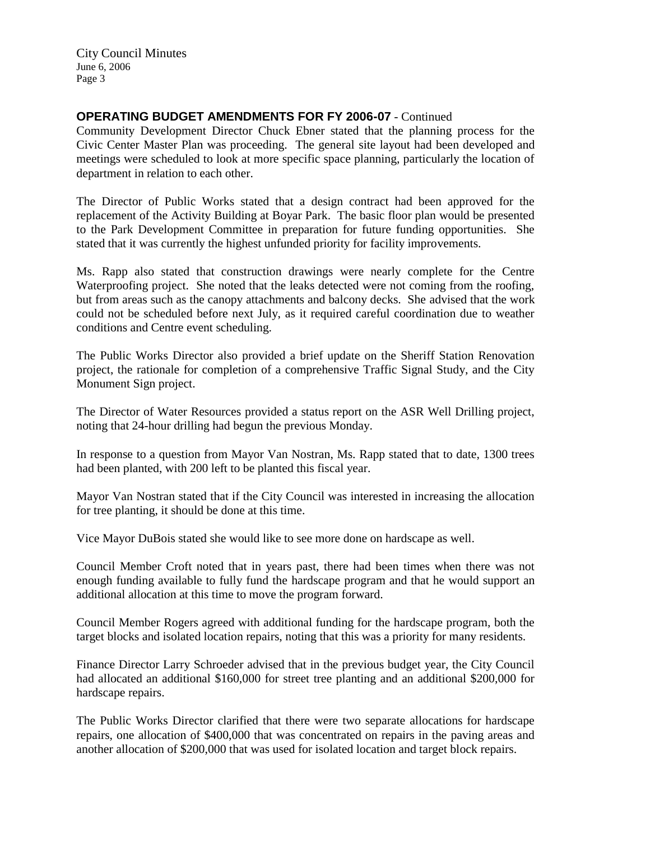## **OPERATING BUDGET AMENDMENTS FOR FY 2006-07** - Continued

Community Development Director Chuck Ebner stated that the planning process for the Civic Center Master Plan was proceeding. The general site layout had been developed and meetings were scheduled to look at more specific space planning, particularly the location of department in relation to each other.

The Director of Public Works stated that a design contract had been approved for the replacement of the Activity Building at Boyar Park. The basic floor plan would be presented to the Park Development Committee in preparation for future funding opportunities. She stated that it was currently the highest unfunded priority for facility improvements.

Ms. Rapp also stated that construction drawings were nearly complete for the Centre Waterproofing project. She noted that the leaks detected were not coming from the roofing, but from areas such as the canopy attachments and balcony decks. She advised that the work could not be scheduled before next July, as it required careful coordination due to weather conditions and Centre event scheduling.

The Public Works Director also provided a brief update on the Sheriff Station Renovation project, the rationale for completion of a comprehensive Traffic Signal Study, and the City Monument Sign project.

The Director of Water Resources provided a status report on the ASR Well Drilling project, noting that 24-hour drilling had begun the previous Monday.

In response to a question from Mayor Van Nostran, Ms. Rapp stated that to date, 1300 trees had been planted, with 200 left to be planted this fiscal year.

Mayor Van Nostran stated that if the City Council was interested in increasing the allocation for tree planting, it should be done at this time.

Vice Mayor DuBois stated she would like to see more done on hardscape as well.

Council Member Croft noted that in years past, there had been times when there was not enough funding available to fully fund the hardscape program and that he would support an additional allocation at this time to move the program forward.

Council Member Rogers agreed with additional funding for the hardscape program, both the target blocks and isolated location repairs, noting that this was a priority for many residents.

Finance Director Larry Schroeder advised that in the previous budget year, the City Council had allocated an additional \$160,000 for street tree planting and an additional \$200,000 for hardscape repairs.

The Public Works Director clarified that there were two separate allocations for hardscape repairs, one allocation of \$400,000 that was concentrated on repairs in the paving areas and another allocation of \$200,000 that was used for isolated location and target block repairs.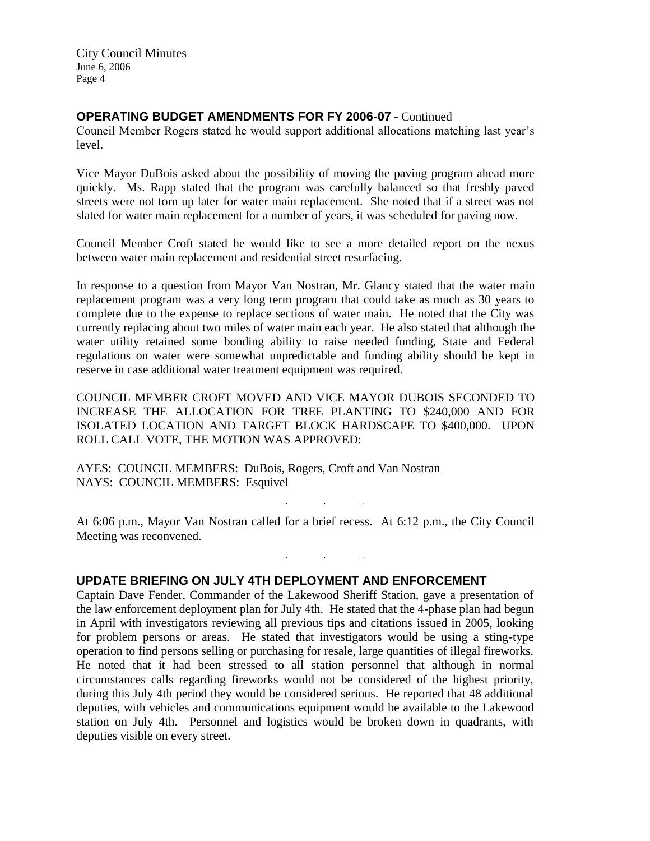### **OPERATING BUDGET AMENDMENTS FOR FY 2006-07** - Continued

Council Member Rogers stated he would support additional allocations matching last year's level.

Vice Mayor DuBois asked about the possibility of moving the paving program ahead more quickly. Ms. Rapp stated that the program was carefully balanced so that freshly paved streets were not torn up later for water main replacement. She noted that if a street was not slated for water main replacement for a number of years, it was scheduled for paving now.

Council Member Croft stated he would like to see a more detailed report on the nexus between water main replacement and residential street resurfacing.

In response to a question from Mayor Van Nostran, Mr. Glancy stated that the water main replacement program was a very long term program that could take as much as 30 years to complete due to the expense to replace sections of water main. He noted that the City was currently replacing about two miles of water main each year. He also stated that although the water utility retained some bonding ability to raise needed funding, State and Federal regulations on water were somewhat unpredictable and funding ability should be kept in reserve in case additional water treatment equipment was required.

COUNCIL MEMBER CROFT MOVED AND VICE MAYOR DUBOIS SECONDED TO INCREASE THE ALLOCATION FOR TREE PLANTING TO \$240,000 AND FOR ISOLATED LOCATION AND TARGET BLOCK HARDSCAPE TO \$400,000. UPON ROLL CALL VOTE, THE MOTION WAS APPROVED:

AYES: COUNCIL MEMBERS: DuBois, Rogers, Croft and Van Nostran NAYS: COUNCIL MEMBERS: Esquivel

At 6:06 p.m., Mayor Van Nostran called for a brief recess. At 6:12 p.m., the City Council Meeting was reconvened.

. . .

 $\mathcal{L}^{\text{max}}_{\text{max}}$  . The set of  $\mathcal{L}^{\text{max}}_{\text{max}}$ 

#### **UPDATE BRIEFING ON JULY 4TH DEPLOYMENT AND ENFORCEMENT**

Captain Dave Fender, Commander of the Lakewood Sheriff Station, gave a presentation of the law enforcement deployment plan for July 4th. He stated that the 4-phase plan had begun in April with investigators reviewing all previous tips and citations issued in 2005, looking for problem persons or areas. He stated that investigators would be using a sting-type operation to find persons selling or purchasing for resale, large quantities of illegal fireworks. He noted that it had been stressed to all station personnel that although in normal circumstances calls regarding fireworks would not be considered of the highest priority, during this July 4th period they would be considered serious. He reported that 48 additional deputies, with vehicles and communications equipment would be available to the Lakewood station on July 4th. Personnel and logistics would be broken down in quadrants, with deputies visible on every street.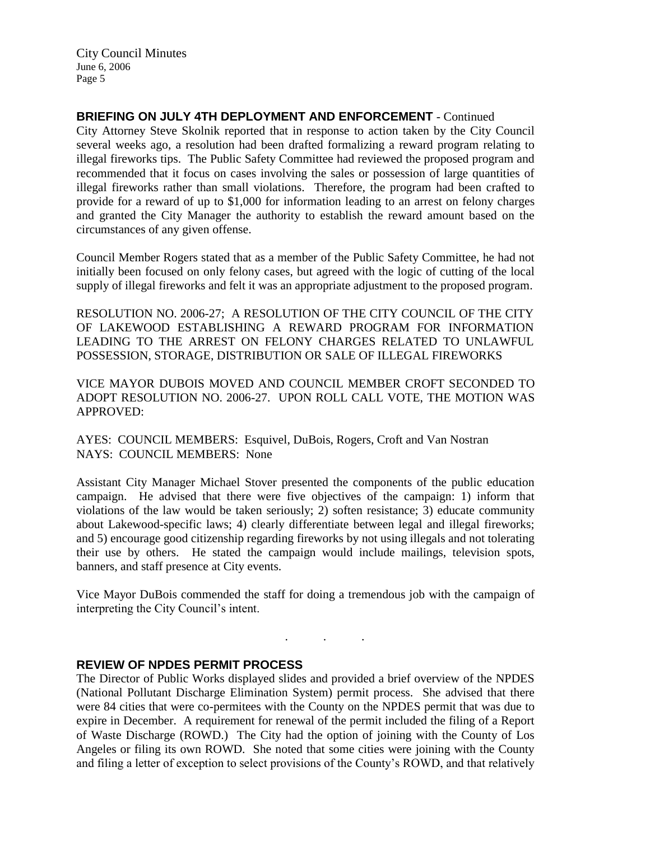## **BRIEFING ON JULY 4TH DEPLOYMENT AND ENFORCEMENT** - Continued

City Attorney Steve Skolnik reported that in response to action taken by the City Council several weeks ago, a resolution had been drafted formalizing a reward program relating to illegal fireworks tips. The Public Safety Committee had reviewed the proposed program and recommended that it focus on cases involving the sales or possession of large quantities of illegal fireworks rather than small violations. Therefore, the program had been crafted to provide for a reward of up to \$1,000 for information leading to an arrest on felony charges and granted the City Manager the authority to establish the reward amount based on the circumstances of any given offense.

Council Member Rogers stated that as a member of the Public Safety Committee, he had not initially been focused on only felony cases, but agreed with the logic of cutting of the local supply of illegal fireworks and felt it was an appropriate adjustment to the proposed program.

RESOLUTION NO. 2006-27; A RESOLUTION OF THE CITY COUNCIL OF THE CITY OF LAKEWOOD ESTABLISHING A REWARD PROGRAM FOR INFORMATION LEADING TO THE ARREST ON FELONY CHARGES RELATED TO UNLAWFUL POSSESSION, STORAGE, DISTRIBUTION OR SALE OF ILLEGAL FIREWORKS

VICE MAYOR DUBOIS MOVED AND COUNCIL MEMBER CROFT SECONDED TO ADOPT RESOLUTION NO. 2006-27. UPON ROLL CALL VOTE, THE MOTION WAS APPROVED:

AYES: COUNCIL MEMBERS: Esquivel, DuBois, Rogers, Croft and Van Nostran NAYS: COUNCIL MEMBERS: None

Assistant City Manager Michael Stover presented the components of the public education campaign. He advised that there were five objectives of the campaign: 1) inform that violations of the law would be taken seriously; 2) soften resistance; 3) educate community about Lakewood-specific laws; 4) clearly differentiate between legal and illegal fireworks; and 5) encourage good citizenship regarding fireworks by not using illegals and not tolerating their use by others. He stated the campaign would include mailings, television spots, banners, and staff presence at City events.

Vice Mayor DuBois commended the staff for doing a tremendous job with the campaign of interpreting the City Council's intent.

. . .

#### **REVIEW OF NPDES PERMIT PROCESS**

The Director of Public Works displayed slides and provided a brief overview of the NPDES (National Pollutant Discharge Elimination System) permit process. She advised that there were 84 cities that were co-permitees with the County on the NPDES permit that was due to expire in December. A requirement for renewal of the permit included the filing of a Report of Waste Discharge (ROWD.) The City had the option of joining with the County of Los Angeles or filing its own ROWD. She noted that some cities were joining with the County and filing a letter of exception to select provisions of the County's ROWD, and that relatively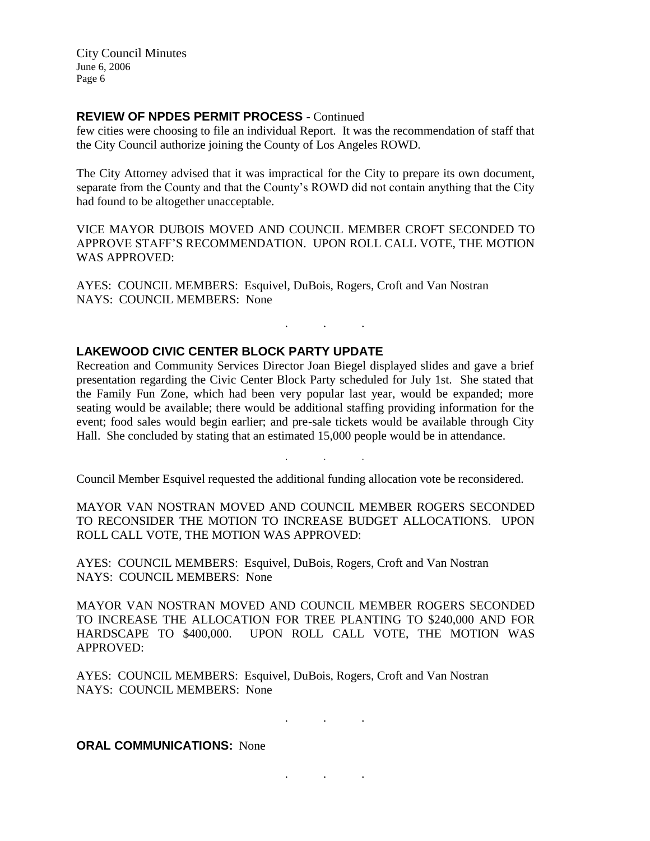### **REVIEW OF NPDES PERMIT PROCESS** - Continued

few cities were choosing to file an individual Report. It was the recommendation of staff that the City Council authorize joining the County of Los Angeles ROWD.

The City Attorney advised that it was impractical for the City to prepare its own document, separate from the County and that the County's ROWD did not contain anything that the City had found to be altogether unacceptable.

VICE MAYOR DUBOIS MOVED AND COUNCIL MEMBER CROFT SECONDED TO APPROVE STAFF'S RECOMMENDATION. UPON ROLL CALL VOTE, THE MOTION WAS APPROVED:

AYES: COUNCIL MEMBERS: Esquivel, DuBois, Rogers, Croft and Van Nostran NAYS: COUNCIL MEMBERS: None

### **LAKEWOOD CIVIC CENTER BLOCK PARTY UPDATE**

Recreation and Community Services Director Joan Biegel displayed slides and gave a brief presentation regarding the Civic Center Block Party scheduled for July 1st. She stated that the Family Fun Zone, which had been very popular last year, would be expanded; more seating would be available; there would be additional staffing providing information for the event; food sales would begin earlier; and pre-sale tickets would be available through City Hall. She concluded by stating that an estimated 15,000 people would be in attendance.

. . .

. . .

Council Member Esquivel requested the additional funding allocation vote be reconsidered.

MAYOR VAN NOSTRAN MOVED AND COUNCIL MEMBER ROGERS SECONDED TO RECONSIDER THE MOTION TO INCREASE BUDGET ALLOCATIONS. UPON ROLL CALL VOTE, THE MOTION WAS APPROVED:

AYES: COUNCIL MEMBERS: Esquivel, DuBois, Rogers, Croft and Van Nostran NAYS: COUNCIL MEMBERS: None

MAYOR VAN NOSTRAN MOVED AND COUNCIL MEMBER ROGERS SECONDED TO INCREASE THE ALLOCATION FOR TREE PLANTING TO \$240,000 AND FOR HARDSCAPE TO \$400,000. UPON ROLL CALL VOTE, THE MOTION WAS APPROVED:

AYES: COUNCIL MEMBERS: Esquivel, DuBois, Rogers, Croft and Van Nostran NAYS: COUNCIL MEMBERS: None

. . .

. . .

#### **ORAL COMMUNICATIONS: None**